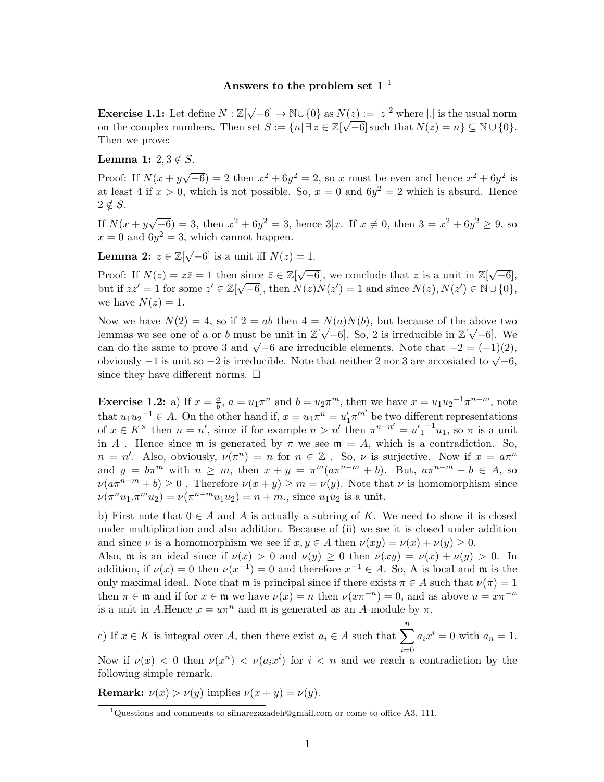## Answers to the problem set  $1<sup>1</sup>$

**Exercise 1.1:** Let define  $N : \mathbb{Z}[\sqrt{-6}] \to \mathbb{N} \cup \{0\}$  as  $N(z) := |z|^2$  where || is the usual norm on the complex numbers. Then set  $S := \{n | \exists z \in \mathbb{Z}[\sqrt{-6}] \text{ such that } N(z) = n \} \subseteq \mathbb{N} \cup \{0\}.$ Then we prove:

Lemma 1:  $2, 3 \notin S$ .

Proof: If  $N(x + y)$ √  $\overline{-6}$ ) = 2 then  $x^2 + 6y^2 = 2$ , so x must be even and hence  $x^2 + 6y^2$  is at least 4 if  $x > 0$ , which is not possible. So,  $x = 0$  and  $6y^2 = 2$  which is absurd. Hence  $2 \notin S$ .

If  $N(x + y)$ √  $\overline{-6}$  = 3, then  $x^2 + 6y^2 = 3$ , hence  $3|x$ . If  $x \neq 0$ , then  $3 = x^2 + 6y^2 \geq 9$ , so  $x = 0$  and  $6y^2 = 3$ , which cannot happen.

Lemma 2:  $z\in \mathbb{Z}[\sqrt{2}]$  $\overline{-6}$ ] is a unit iff  $N(z) = 1$ .

Proof: If  $N(z) = z\overline{z} = 1$  then since  $\overline{z} \in \mathbb{Z}[\sqrt{-6}]$ , we conclude that z is a unit in  $\mathbb{Z}[\sqrt{2}]$ since  $\overline{z} \in \mathbb{Z}[\sqrt{-6}]$ , we conclude that z is a unit in  $\mathbb{Z}[\sqrt{-6}]$ , but if  $zz' = 1$  for some  $z' \in \mathbb{Z}[\sqrt{-6}]$ , then  $N(z)N(z') = 1$  and since  $N(z), N(z') \in \mathbb{N} \cup \{0\}$ , we have  $N(z) = 1$ .

Now we have  $N(2) = 4$ , so if  $2 = ab$  then  $4 = N(a)N(b)$ , but because of the above two lemmas we see one of a or b must be unit in  $\mathbb{Z}[\sqrt{-6}]$ . So, 2 is irreducible in  $\mathbb{Z}[\sqrt{-6}]$ . We eminas we see one or a or o must be unit in  $\mathbb{Z}[V]$  –0. So, z is irreducible in  $\mathbb{Z}[V]$ –0. We can do the same to prove 3 and  $\sqrt{-6}$  are irreducible elements. Note that  $-2 = (-1)(2)$ , can do the same to prove 5 and  $\sqrt{6}$  –0 are irreducible elements. Note that  $-2 = (-1)(2)$ ,<br>obviously  $-1$  is unit so  $-2$  is irreducible. Note that neither 2 nor 3 are accosiated to  $\sqrt{-6}$ , since they have different norms.  $\square$ 

**Exercise 1.2:** a) If  $x = \frac{a}{b}$  $\frac{a}{b}$ ,  $a = u_1 \pi^n$  and  $b = u_2 \pi^m$ , then we have  $x = u_1 u_2^{-1} \pi^{n-m}$ , note that  $u_1 u_2^{-1} \in A$ . On the other hand if,  $x = u_1 \pi^n = u'_1 \pi'^{n'}$  be two different representations of  $x \in K^{\times}$  then  $n = n'$ , since if for example  $n > n'$  then  $\pi^{n-n'} = u'_1^{-1}u_1$ , so  $\pi$  is a unit in A. Hence since m is generated by  $\pi$  we see  $\mathfrak{m} = A$ , which is a contradiction. So,  $n = n'$ . Also, obviously,  $\nu(\pi^n) = n$  for  $n \in \mathbb{Z}$ . So,  $\nu$  is surjective. Now if  $x = a\pi^n$ and  $y = b\pi^m$  with  $n \geq m$ , then  $x + y = \pi^m(a\pi^{n-m} + b)$ . But,  $a\pi^{n-m} + b \in A$ , so  $\nu(a\pi^{n-m}+b)\geq 0$ . Therefore  $\nu(x+y)\geq m=\nu(y)$ . Note that  $\nu$  is homomorphism since  $\nu(\pi^n u_1 \cdot \pi^m u_2) = \nu(\pi^{n+m} u_1 u_2) = n + m$ ., since  $u_1 u_2$  is a unit.

b) First note that  $0 \in A$  and A is actually a subring of K. We need to show it is closed under multiplication and also addition. Because of (ii) we see it is closed under addition and since  $\nu$  is a homomorphism we see if  $x, y \in A$  then  $\nu(xy) = \nu(x) + \nu(y) \ge 0$ .

Also, m is an ideal since if  $\nu(x) > 0$  and  $\nu(y) \ge 0$  then  $\nu(xy) = \nu(x) + \nu(y) > 0$ . In addition, if  $\nu(x) = 0$  then  $\nu(x^{-1}) = 0$  and therefore  $x^{-1} \in A$ . So, A is local and m is the only maximal ideal. Note that m is principal since if there exists  $\pi \in A$  such that  $\nu(\pi) = 1$ then  $\pi \in \mathfrak{m}$  and if for  $x \in \mathfrak{m}$  we have  $\nu(x) = n$  then  $\nu(x\pi^{-n}) = 0$ , and as above  $u = x\pi^{-n}$ is a unit in A.Hence  $x = u\pi^n$  and  $\mathfrak m$  is generated as an A-module by  $\pi$ .

c) If  $x \in K$  is integral over A, then there exist  $a_i \in A$  such that  $\sum_{i=1}^{n} a_i$  $i=0$  $a_ix^i = 0$  with  $a_n = 1$ .

Now if  $\nu(x) < 0$  then  $\nu(x^n) < \nu(a_i x^i)$  for  $i < n$  and we reach a contradiction by the following simple remark.

**Remark:**  $\nu(x) > \nu(y)$  implies  $\nu(x + y) = \nu(y)$ .

<sup>&</sup>lt;sup>1</sup>Questions and comments to siinarezazadeh@gmail.com or come to office A3, 111.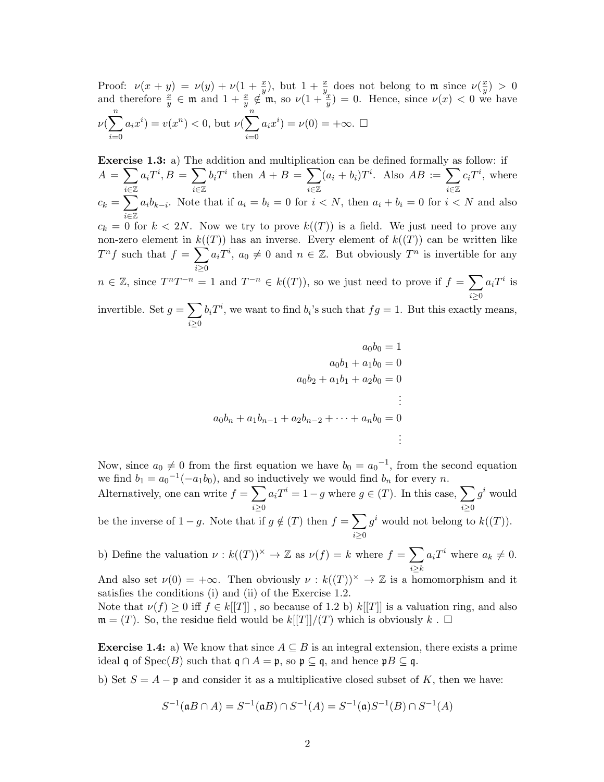Proof:  $\nu(x+y) = \nu(y) + \nu(1+\frac{x}{y})$ , but  $1+\frac{x}{y}$  does not belong to m since  $\nu(\frac{x}{y})$  $\frac{x}{y}) > 0$ and therefore  $\frac{x}{y} \in \mathfrak{m}$  and  $1 + \frac{x}{y} \notin \mathfrak{m}$ , so  $\nu(1 + \frac{y}{y}) = 0$ . Hence, since  $\nu(x) < 0$  we have  $\nu(\sum_{n=1}^{n}$  $i=0$  $a_i x^i$  =  $v(x^n)$  < 0, but  $\nu(\sum_{n=1}^{\infty}$  $i=0$  $a_ix^i$ ) =  $\nu(0)$  =  $+\infty$ .  $\square$ 

Exercise 1.3: a) The addition and multiplication can be defined formally as follow: if  $A = \sum$ i∈Z  $a_i T^i, B = \sum$ i∈Z  $b_i T^i$  then  $A + B = \sum$ i∈Z  $(a_i + b_i)T^i$ . Also  $AB := \sum$ i∈Z  $c_iT^i$ , where  $c_k = \sum$ i∈Z  $a_i b_{k-i}$ . Note that if  $a_i = b_i = 0$  for  $i < N$ , then  $a_i + b_i = 0$  for  $i < N$  and also  $c_k = 0$  for  $k < 2N$ . Now we try to prove  $k((T))$  is a field. We just need to prove any non-zero element in  $k((T))$  has an inverse. Every element of  $k((T))$  can be written like  $T^n f$  such that  $f = \sum$  $i \geq 0$  $a_i T^i$ ,  $a_0 \neq 0$  and  $n \in \mathbb{Z}$ . But obviously  $T^n$  is invertible for any  $n \in \mathbb{Z}$ , since  $T^{n}T^{-n} = 1$  and  $T^{-n} \in k((T))$ , so we just need to prove if  $f = \sum$  $i \geq 0$  $a_i T^i$  is invertible. Set  $g = \sum$  $b_i T^i$ , we want to find  $b_i$ 's such that  $fg = 1$ . But this exactly means,

 $i \geq 0$ 

$$
a_0b_0 = 1
$$
  
\n
$$
a_0b_1 + a_1b_0 = 0
$$
  
\n
$$
a_0b_2 + a_1b_1 + a_2b_0 = 0
$$
  
\n
$$
\vdots
$$
  
\n
$$
a_0b_n + a_1b_{n-1} + a_2b_{n-2} + \dots + a_nb_0 = 0
$$
  
\n
$$
\vdots
$$

Now, since  $a_0 \neq 0$  from the first equation we have  $b_0 = a_0^{-1}$ , from the second equation we find  $b_1 = a_0^{-1}(-a_1b_0)$ , and so inductively we would find  $b_n$  for every n.

Alternatively, one can write  $f = \sum$  $i \geq 0$  $a_i T^i = 1-g$  where  $g \in (T)$ . In this case,  $\sum$  $i \geq 0$  $g^i$  would

be the inverse of  $1 - g$ . Note that if  $g \notin (T)$  then  $f = \sum$  $i \geq 0$  $g^i$  would not belong to  $k((T))$ .

b) Define the valuation  $\nu : k((T))^\times \to \mathbb{Z}$  as  $\nu(f) = k$  where  $f = \sum$  $i \geq k$  $a_i T^i$  where  $a_k \neq 0$ .

And also set  $\nu(0) = +\infty$ . Then obviously  $\nu : k((T))^{\times} \to \mathbb{Z}$  is a homomorphism and it satisfies the conditions (i) and (ii) of the Exercise 1.2.

Note that  $\nu(f) \geq 0$  iff  $f \in k[[T]]$ , so because of 1.2 b)  $k[[T]]$  is a valuation ring, and also  $\mathfrak{m} = (T)$ . So, the residue field would be  $k[[T]]/(T)$  which is obviously  $k$ .  $\Box$ 

Exercise 1.4: a) We know that since  $A \subseteq B$  is an integral extension, there exists a prime ideal q of  $Spec(B)$  such that  $\mathfrak{q} \cap A = \mathfrak{p}$ , so  $\mathfrak{p} \subseteq \mathfrak{q}$ , and hence  $\mathfrak{p}B \subseteq \mathfrak{q}$ .

b) Set  $S = A - \mathfrak{p}$  and consider it as a multiplicative closed subset of K, then we have:

$$
S^{-1}(\mathfrak{a} B \cap A) = S^{-1}(\mathfrak{a} B) \cap S^{-1}(A) = S^{-1}(\mathfrak{a}) S^{-1}(B) \cap S^{-1}(A)
$$